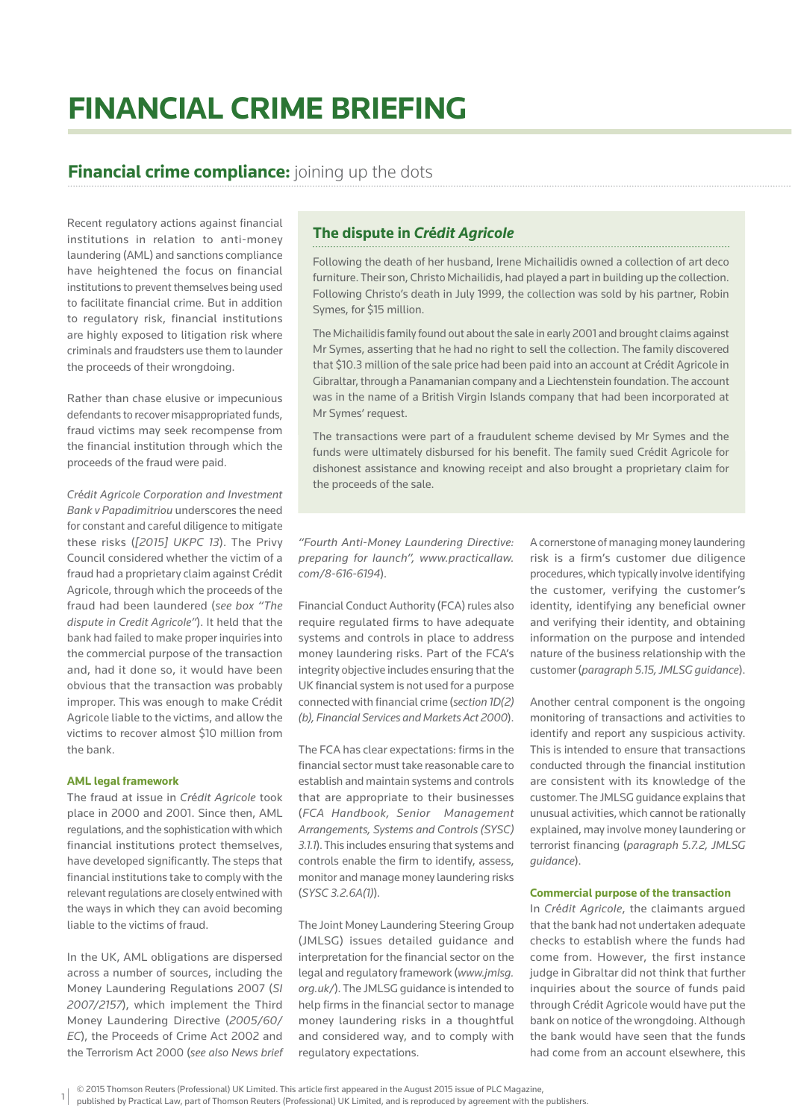# **FINANCIAL CRIME BRIEFING**

## **Financial crime compliance:** joining up the dots

Recent regulatory actions against financial institutions in relation to anti-money laundering (AML) and sanctions compliance have heightened the focus on financial institutions to prevent themselves being used to facilitate financial crime. But in addition to regulatory risk, financial institutions are highly exposed to litigation risk where criminals and fraudsters use them to launder the proceeds of their wrongdoing.

Rather than chase elusive or impecunious defendants to recover misappropriated funds, fraud victims may seek recompense from the financial institution through which the proceeds of the fraud were paid.

*Cr*é*dit Agricole Corporation and Investment Bank v Papadimitriou* underscores the need for constant and careful diligence to mitigate these risks (*[2015] UKPC 13*). The Privy Council considered whether the victim of a fraud had a proprietary claim against Crédit Agricole, through which the proceeds of the fraud had been laundered (*see box "The dispute in Credit Agricole"*). It held that the bank had failed to make proper inquiries into the commercial purpose of the transaction and, had it done so, it would have been obvious that the transaction was probably improper. This was enough to make Crédit Agricole liable to the victims, and allow the victims to recover almost \$10 million from the bank.

#### **AML legal framework**

The fraud at issue in *Cr*é*dit Agricole* took place in 2000 and 2001. Since then, AML regulations, and the sophistication with which financial institutions protect themselves, have developed significantly. The steps that financial institutions take to comply with the relevant regulations are closely entwined with the ways in which they can avoid becoming liable to the victims of fraud.

In the UK, AML obligations are dispersed across a number of sources, including the Money Laundering Regulations 2007 (*SI 2007/2157*), which implement the Third Money Laundering Directive (*2005/60/ EC*), the Proceeds of Crime Act 2002 and the Terrorism Act 2000 (*see also News brief* 

## **The dispute in** *Cr***é***dit Agricole*

Following the death of her husband, Irene Michailidis owned a collection of art deco furniture. Their son, Christo Michailidis, had played a part in building up the collection. Following Christo's death in July 1999, the collection was sold by his partner, Robin Symes, for \$15 million.

The Michailidis family found out about the sale in early 2001 and brought claims against Mr Symes, asserting that he had no right to sell the collection. The family discovered that \$10.3 million of the sale price had been paid into an account at Crédit Agricole in Gibraltar, through a Panamanian company and a Liechtenstein foundation. The account was in the name of a British Virgin Islands company that had been incorporated at Mr Symes' request.

The transactions were part of a fraudulent scheme devised by Mr Symes and the funds were ultimately disbursed for his benefit. The family sued Crédit Agricole for dishonest assistance and knowing receipt and also brought a proprietary claim for the proceeds of the sale.

*"Fourth Anti-Money Laundering Directive: preparing for launch", www.practicallaw. com/8-616-6194*).

Financial Conduct Authority (FCA) rules also require requlated firms to have adequate systems and controls in place to address money laundering risks. Part of the FCA's integrity objective includes ensuring that the UK financial system is not used for a purpose connected with financial crime (*section 1D(2*) *(b), Financial Services and Markets Act 2000*).

The FCA has clear expectations: firms in the financial sector must take reasonable care to establish and maintain systems and controls that are appropriate to their businesses (*FCA Handbook, Senior Management Arrangements, Systems and Controls (SYSC) 3.1.1*). This includes ensuring that systems and controls enable the firm to identify, assess, monitor and manage money laundering risks (*SYSC 3.2.6A(1)*).

The Joint Money Laundering Steering Group (JMLSG) issues detailed guidance and interpretation for the financial sector on the legal and regulatory framework (*www.jmlsg. org.uk/*). The JMLSG guidance is intended to help firms in the financial sector to manage money laundering risks in a thoughtful and considered way, and to comply with regulatory expectations.

A cornerstone of managing money laundering risk is a firm's customer due diligence procedures, which typically involve identifying the customer, verifying the customer's identity, identifying any beneficial owner and verifying their identity, and obtaining information on the purpose and intended nature of the business relationship with the customer (*paragraph 5.15, JMLSG guidance*).

Another central component is the ongoing monitoring of transactions and activities to identify and report any suspicious activity. This is intended to ensure that transactions conducted through the financial institution are consistent with its knowledge of the customer. The JMLSG guidance explains that unusual activities, which cannot be rationally explained, may involve money laundering or terrorist financing (paragraph 5.7.2, JMLSG *guidance*).

#### **Commercial purpose of the transaction**

In *Cr*é*dit Agricole*, the claimants argued that the bank had not undertaken adequate checks to establish where the funds had come from. However, the first instance judge in Gibraltar did not think that further inquiries about the source of funds paid through Crédit Agricole would have put the bank on notice of the wrongdoing. Although the bank would have seen that the funds had come from an account elsewhere, this

<sup>© 2015</sup> Thomson Reuters (Professional) UK Limited. This article first appeared in the August 2015 issue of PLC Magazine,

<sup>1</sup> published by Practical Law, part of Thomson Reuters (Professional) UK Limited, and is reproduced by agreement with the publishers.